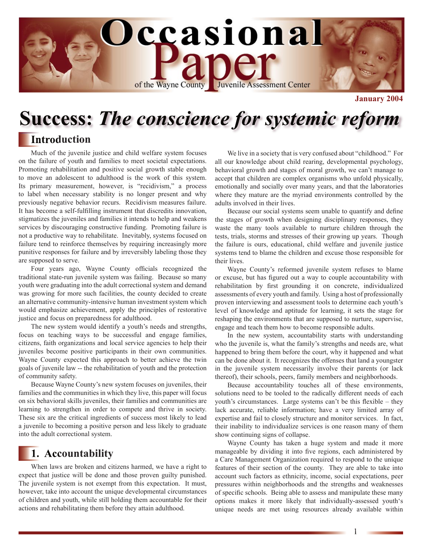

**January 2004**

# **Success:** *The conscience for systemic reform*

## **Introduction**

Much of the juvenile justice and child welfare system focuses on the failure of youth and families to meet societal expectations. Promoting rehabilitation and positive social growth stable enough to move an adolescent to adulthood is the work of this system. Its primary measurement, however, is "recidivism," a process to label when necessary stability is no longer present and why previously negative behavior recurs. Recidivism measures failure. It has become a self-fulfilling instrument that discredits innovation, stigmatizes the juveniles and families it intends to help and weakens services by discouraging constructive funding. Promoting failure is not a productive way to rehabilitate. Inevitably, systems focused on failure tend to reinforce themselves by requiring increasingly more punitive responses for failure and by irreversibly labeling those they are supposed to serve.

Four years ago, Wayne County officials recognized the traditional state-run juvenile system was failing. Because so many youth were graduating into the adult correctional system and demand was growing for more such facilities, the county decided to create an alternative community-intensive human investment system which would emphasize achievement, apply the principles of restorative justice and focus on preparedness for adulthood.

The new system would identify a youth's needs and strengths, focus on teaching ways to be successful and engage families, citizens, faith organizations and local service agencies to help their juveniles become positive participants in their own communities. Wayne County expected this approach to better achieve the twin goals of juvenile law -- the rehabilitation of youth and the protection of community safety.

Because Wayne County's new system focuses on juveniles, their families and the communities in which they live, this paper will focus on six behavioral skills juveniles, their families and communities are learning to strengthen in order to compete and thrive in society. These six are the critical ingredients of success most likely to lead a juvenile to becoming a positive person and less likely to graduate into the adult correctional system.

## **1. Accountability**

When laws are broken and citizens harmed, we have a right to expect that justice will be done and those proven guilty punished. The juvenile system is not exempt from this expectation. It must, however, take into account the unique developmental circumstances of children and youth, while still holding them accountable for their actions and rehabilitating them before they attain adulthood.

We live in a society that is very confused about "childhood." For all our knowledge about child rearing, developmental psychology, behavioral growth and stages of moral growth, we can't manage to accept that children are complex organisms who unfold physically, emotionally and socially over many years, and that the laboratories where they mature are the myriad environments controlled by the adults involved in their lives.

Because our social systems seem unable to quantify and define the stages of growth when designing disciplinary responses, they waste the many tools available to nurture children through the tests, trials, storms and stresses of their growing up years. Though the failure is ours, educational, child welfare and juvenile justice systems tend to blame the children and excuse those responsible for their lives.

Wayne County's reformed juvenile system refuses to blame or excuse, but has figured out a way to couple accountability with rehabilitation by first grounding it on concrete, individualized assessments of every youth and family. Using a host of professionally proven interviewing and assessment tools to determine each youth's level of knowledge and aptitude for learning, it sets the stage for reshaping the environments that are supposed to nurture, supervise, engage and teach them how to become responsible adults.

In the new system, accountability starts with understanding who the juvenile is, what the family's strengths and needs are, what happened to bring them before the court, why it happened and what can be done about it. It recognizes the offenses that land a youngster in the juvenile system necessarily involve their parents (or lack thereof), their schools, peers, family members and neighborhoods.

Because accountability touches all of these environments, solutions need to be tooled to the radically different needs of each youth's circumstances. Large systems can't be this flexible – they lack accurate, reliable information; have a very limited array of expertise and fail to closely structure and monitor services. In fact, their inability to individualize services is one reason many of them show continuing signs of collapse.

Wayne County has taken a huge system and made it more manageable by dividing it into five regions, each administered by a Care Management Organization required to respond to the unique features of their section of the county. They are able to take into account such factors as ethnicity, income, social expectations, peer pressures within neighborhoods and the strengths and weaknesses of specific schools. Being able to assess and manipulate these many options makes it more likely that individually-assessed youth's unique needs are met using resources already available within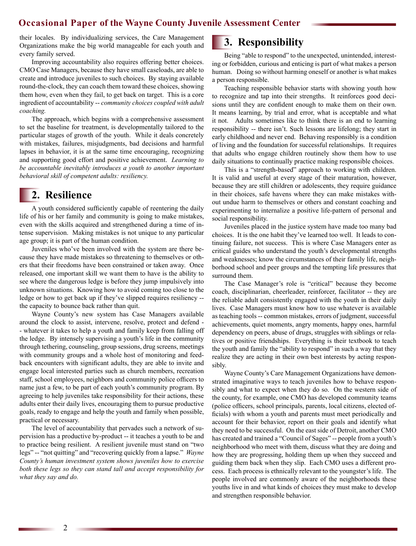#### **Occasional Paper of the Wayne County Juvenile Assessment Center**

their locales. By individualizing services, the Care Management Organizations make the big world manageable for each youth and every family served.

Improving accountability also requires offering better choices. CMO Case Managers, because they have small caseloads, are able to create and introduce juveniles to such choices. By staying available round-the-clock, they can coach them toward these choices, showing them how, even when they fail, to get back on target. This is a core ingredient of accountability -- *community choices coupled with adult coaching.*

The approach, which begins with a comprehensive assessment to set the baseline for treatment, is developmentally tailored to the particular stages of growth of the youth. While it deals concretely with mistakes, failures, misjudgments, bad decisions and harmful lapses in behavior, it is at the same time encouraging, recognizing and supporting good effort and positive achievement. *Learning to be accountable inevitably introduces a youth to another important behavioral skill of competent adults: resiliency.*

## **2. Resilience**

A youth considered sufficiently capable of reentering the daily life of his or her family and community is going to make mistakes, even with the skills acquired and strengthened during a time of intense supervision. Making mistakes is not unique to any particular age group; it is part of the human condition.

Juveniles who've been involved with the system are there because they have made mistakes so threatening to themselves or others that their freedoms have been constrained or taken away. Once released, one important skill we want them to have is the ability to see where the dangerous ledge is before they jump impulsively into unknown situations. Knowing how to avoid coming too close to the ledge or how to get back up if they've slipped requires resiliency - the capacity to bounce back rather than quit.

Wayne County's new system has Case Managers available around the clock to assist, intervene, resolve, protect and defend - - whatever it takes to help a youth and family keep from falling off the ledge. By intensely supervising a youth's life in the community through tethering, counseling, group sessions, drug screens, meetings with community groups and a whole host of monitoring and feedback encounters with significant adults, they are able to invite and engage local interested parties such as church members, recreation staff, school employees, neighbors and community police officers to name just a few, to be part of each youth's community program. By agreeing to help juveniles take responsibility for their actions, these adults enter their daily lives, encouraging them to pursue productive goals, ready to engage and help the youth and family when possible, practical or necessary.

The level of accountability that pervades such a network of supervision has a productive by-product -- it teaches a youth to be and to practice being resilient. A resilient juvenile must stand on "two legs" -- "not quitting" and "recovering quickly from a lapse." *Wayne County's human investment system shows juveniles how to exercise both these legs so they can stand tall and accept responsibility for what they say and do.*

## **3. Responsibility**

Being "able to respond" to the unexpected, unintended, interesting or forbidden, curious and enticing is part of what makes a person human. Doing so without harming oneself or another is what makes a person responsible.

Teaching responsible behavior starts with showing youth how to recognize and tap into their strengths. It reinforces good decisions until they are confident enough to make them on their own. It means learning, by trial and error, what is acceptable and what it not. Adults sometimes like to think there is an end to learning responsibility -- there isn't. Such lessons are lifelong; they start in early childhood and never end. Behaving responsibly is a condition of living and the foundation for successful relationships. It requires that adults who engage children routinely show them how to use daily situations to continually practice making responsible choices.

This is a "strength-based" approach to working with children. It is valid and useful at every stage of their maturation, however, because they are still children or adolescents, they require guidance in their choices, safe havens where they can make mistakes without undue harm to themselves or others and constant coaching and experimenting to internalize a positive life-pattern of personal and social responsibility.

Juveniles placed in the justice system have made too many bad choices. It is the one habit they've learned too well. It leads to continuing failure, not success. This is where Case Managers enter as critical guides who understand the youth's developmental strengths and weaknesses; know the circumstances of their family life, neighborhood school and peer groups and the tempting life pressures that surround them.

The Case Manager's role is "critical" because they become coach, disciplinarian, cheerleader, reinforcer, facilitator -- they are the reliable adult consistently engaged with the youth in their daily lives. Case Managers must know how to use whatever is available as teaching tools -- common mistakes, errors of judgment, successful achievements, quiet moments, angry moments, happy ones, harmful dependency on peers, abuse of drugs, struggles with siblings or relatives or positive friendships. Everything is their textbook to teach the youth and family the "ability to respond" in such a way that they realize they are acting in their own best interests by acting responsibly.

Wayne County's Care Management Organizations have demonstrated imaginative ways to teach juveniles how to behave responsibly and what to expect when they do so. On the western side of the county, for example, one CMO has developed community teams (police officers, school principals, parents, local citizens, elected officials) with whom a youth and parents must meet periodically and account for their behavior, report on their goals and identify what they need to be successful. On the east side of Detroit, another CMO has created and trained a "Council of Sages" -- people from a youth's neighborhood who meet with them, discuss what they are doing and how they are progressing, holding them up when they succeed and guiding them back when they slip. Each CMO uses a different process. Each process is ethnically relevant to the youngster's life. The people involved are commonly aware of the neighborhoods these youths live in and what kinds of choices they must make to develop and strengthen responsible behavior.

2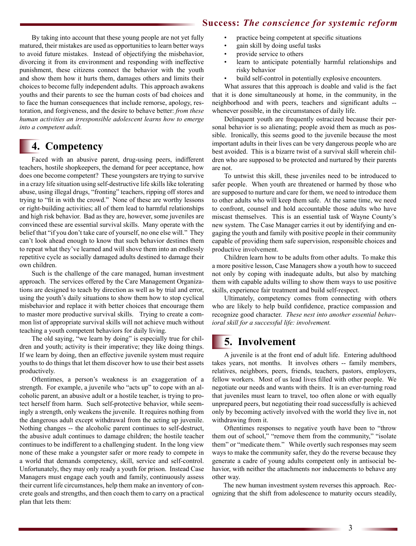#### **Success:** *The conscience for systemic reform*

By taking into account that these young people are not yet fully matured, their mistakes are used as opportunities to learn better ways to avoid future mistakes. Instead of objectifying the misbehavior, divorcing it from its environment and responding with ineffective punishment, these citizens connect the behavior with the youth and show them how it hurts them, damages others and limits their choices to become fully independent adults. This approach awakens youths and their parents to see the human costs of bad choices and to face the human consequences that include remorse, apology, restoration, and forgiveness, and the desire to behave better: *from these human activities an irresponsible adolescent learns how to emerge into a competent adult.*

## **4. Competency**

Faced with an abusive parent, drug-using peers, indifferent teachers, hostile shopkeepers, the demand for peer acceptance, how does one become competent? These youngsters are trying to survive in a crazy life situation using self-destructive life skills like tolerating abuse, using illegal drugs, "fronting" teachers, ripping off stores and trying to "fit in with the crowd." None of these are worthy lessons or right-building activities; all of them lead to harmful relationships and high risk behavior. Bad as they are, however, some juveniles are convinced these are essential survival skills. Many operate with the belief that "if you don't take care of yourself, no one else will." They can't look ahead enough to know that such behavior destines them to repeat what they've learned and will shove them into an endlessly repetitive cycle as socially damaged adults destined to damage their own children.

Such is the challenge of the care managed, human investment approach. The services offered by the Care Management Organizations are designed to teach by direction as well as by trial and error, using the youth's daily situations to show them how to stop cyclical misbehavior and replace it with better choices that encourage them to master more productive survival skills. Trying to create a common list of appropriate survival skills will not achieve much without teaching a youth competent behaviors for daily living.

The old saying, "we learn by doing" is especially true for children and youth; activity is their imperative; they like doing things. If we learn by doing, then an effective juvenile system must require youths to do things that let them discover how to use their best assets productively.

Oftentimes, a person's weakness is an exaggeration of a strength. For example, a juvenile who "acts up" to cope with an alcoholic parent, an abusive adult or a hostile teacher, is trying to protect herself from harm. Such self-protective behavior, while seemingly a strength, only weakens the juvenile. It requires nothing from the dangerous adult except withdrawal from the acting up juvenile. Nothing changes -- the alcoholic parent continues to self-destruct, the abusive adult continues to damage children; the hostile teacher continues to be indifferent to a challenging student. In the long view none of these make a youngster safer or more ready to compete in a world that demands competency, skill, service and self-control. Unfortunately, they may only ready a youth for prison. Instead Case Managers must engage each youth and family, continuously assess their current life circumstances, help them make an inventory of concrete goals and strengths, and then coach them to carry on a practical plan that lets them:

- practice being competent at specific situations
- gain skill by doing useful tasks
- provide service to others
- learn to anticipate potentially harmful relationships and risky behavior
- build self-control in potentially explosive encounters.

What assures that this approach is doable and valid is the fact that it is done simultaneously at home, in the community, in the neighborhood and with peers, teachers and significant adults - whenever possible, in the circumstances of daily life.

Delinquent youth are frequently ostracized because their personal behavior is so alienating; people avoid them as much as possible. Ironically, this seems good to the juvenile because the most important adults in their lives can be very dangerous people who are best avoided. This is a bizarre twist of a survival skill wherein children who are supposed to be protected and nurtured by their parents are not.

To untwist this skill, these juveniles need to be introduced to safer people. When youth are threatened or harmed by those who are supposed to nurture and care for them, we need to introduce them to other adults who will keep them safe. At the same time, we need to confront, counsel and hold accountable those adults who have miscast themselves. This is an essential task of Wayne County's new system. The Case Manager carries it out by identifying and engaging the youth and family with positive people in their community capable of providing them safe supervision, responsible choices and productive involvement.

Children learn how to be adults from other adults. To make this a more positive lesson, Case Managers show a youth how to succeed not only by coping with inadequate adults, but also by matching them with capable adults willing to show them ways to use positive skills, experience fair treatment and build self-respect.

Ultimately, competency comes from connecting with others who are likely to help build confidence, practice compassion and recognize good character. *These nest into another essential behavioral skill for a successful life: involvement.*

## **5. Involvement**

A juvenile is at the front end of adult life. Entering adulthood takes years, not months. It involves others -- family members, relatives, neighbors, peers, friends, teachers, pastors, employers, fellow workers. Most of us lead lives filled with other people. We negotiate our needs and wants with theirs. It is an ever-turning road that juveniles must learn to travel, too often alone or with equally unprepared peers, but negotiating their road successfully is achieved only by becoming actively involved with the world they live in, not withdrawing from it.

Oftentimes responses to negative youth have been to "throw them out of school," "remove them from the community," "isolate them" or "medicate them." While overtly such responses may seem ways to make the community safer, they do the reverse because they generate a cadre of young adults competent only in antisocial behavior, with neither the attachments nor inducements to behave any other way.

The new human investment system reverses this approach. Recognizing that the shift from adolescence to maturity occurs steadily,